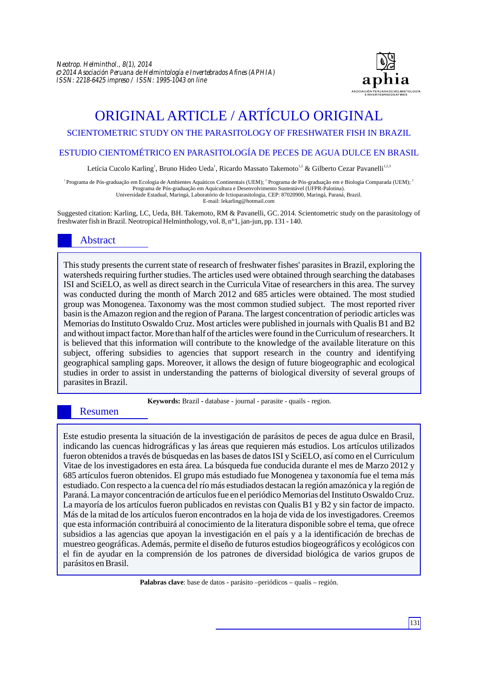

# ORIGINAL ARTICLE / ARTÍCULO ORIGINAL

# SCIENTOMETRIC STUDY ON THE PARASITOLOGY OF FRESHWATER FISH IN BRAZIL

#### ESTUDIO CIENTOMÉTRICO EN PARASITOLOGÍA DE PECES DE AGUA DULCE EN BRASIL

Letícia Cucolo Karling<sup>1</sup>, Bruno Hideo Ueda<sup>1</sup>, Ricardo Massato Takemoto<sup>1,2</sup> & Gilberto Cezar Pavanelli<sup>1,2,3</sup>

<sup>1</sup> Programa de Pós-graduação em Ecologia de Ambientes Aquáticos Continentais (UEM); <sup>2</sup> Programa de Pós-graduação em e Biologia Comparada (UEM); <sup>2</sup> Programa de Pós-graduação em Aquicultura e Desenvolvimento Sustentável (UFPR-Palotina). Universidade Estadual, Maringá, Laboratório de Ictioparasitologia, CEP: 87020900, Maringá, Paraná, Brazil.

E-mail: lekarling@hotmail.com

Suggested citation: Karling, LC, Ueda, BH. Takemoto, RM & Pavanelli, GC. 2014. Scientometric study on the parasitology of freshwater fish in Brazil. Neotropical Helminthology, vol. 8, n°1, jan-jun, pp. 131 - 140.

# Abstract

This study presents the current state of research of freshwater fishes' parasites in Brazil, exploring the watersheds requiring further studies. The articles used were obtained through searching the databases ISI and SciELO, as well as direct search in the Curricula Vitae of researchers in this area. The survey was conducted during the month of March 2012 and 685 articles were obtained. The most studied group was Monogenea. Taxonomy was the most common studied subject. The most reported river basin is the Amazon region and the region of Parana. The largest concentration of periodic articles was Memorias do Instituto Oswaldo Cruz. Most articles were published in journals with Qualis B1 and B2 and without impact factor. More than half of the articles were found in the Curriculum of researchers. It is believed that this information will contribute to the knowledge of the available literature on this subject, offering subsidies to agencies that support research in the country and identifying geographical sampling gaps. Moreover, it allows the design of future biogeographic and ecological studies in order to assist in understanding the patterns of biological diversity of several groups of parasites in Brazil.

**Keywords:** Brazil **-** database - journal - parasite - quails - region.

# Resumen

Este estudio presenta la situación de la investigación de parásitos de peces de agua dulce en Brasil, indicando las cuencas hidrográficas y las áreas que requieren más estudios. Los artículos utilizados fueron obtenidos a través de búsquedas en las bases de datos ISI y SciELO, así como en el Curriculum Vitae de los investigadores en esta área. La búsqueda fue conducida durante el mes de Marzo 2012 y 685 artículos fueron obtenidos. El grupo más estudiado fue Monogenea y taxonomía fue el tema más estudiado. Con respecto a la cuenca del río más estudiados destacan la región amazónica y la región de Paraná. La mayor concentración de artículos fue en el periódico Memorias del Instituto Oswaldo Cruz. La mayoría de los artículos fueron publicados en revistas con Qualis B1 y B2 y sin factor de impacto. Más de la mitad de los artículos fueron encontrados en la hoja de vida de los investigadores. Creemos que esta información contribuirá al conocimiento de la literatura disponible sobre el tema, que ofrece subsidios a las agencias que apoyan la investigación en el país y a la identificación de brechas de muestreo geográficas. Además, permite el diseño de futuros estudios biogeográficos y ecológicos con el fin de ayudar en la comprensión de los patrones de diversidad biológica de varios grupos de parásitos en Brasil.

**Palabras clave**: base de datos - parásito –periódicos – qualis – región.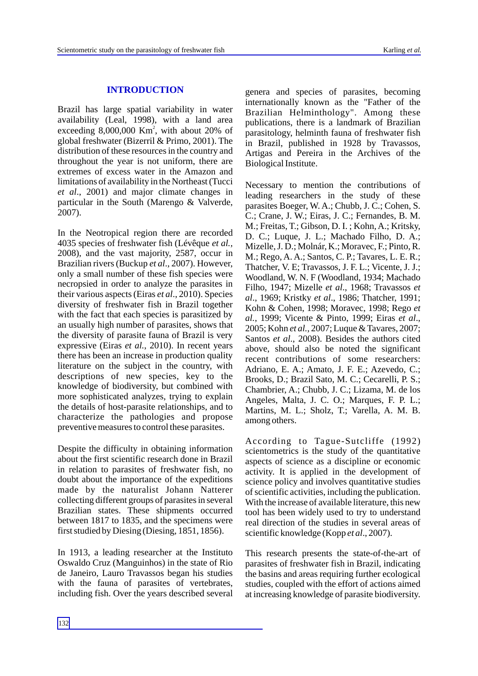#### **INTRODUCTION**

Brazil has large spatial variability in water availability (Leal, 1998), with a land area exceeding  $8,000,000$  Km<sup>2</sup>, with about 20% of global freshwater (Bizerril & Primo, 2001). The distribution of these resources in the country and throughout the year is not uniform, there are extremes of excess water in the Amazon and limitations of availability in the Northeast (Tucci *et al*., 2001) and major climate changes in particular in the South (Marengo & Valverde, 2007).

In the Neotropical region there are recorded 4035 species of freshwater fish (Lévêque *et al.,* 2008), and the vast majority, 2587, occur in Brazilian rivers (Buckup *et al*., 2007). However, only a small number of these fish species were necropsied in order to analyze the parasites in their various aspects (Eiras *et al*., 2010). Species diversity of freshwater fish in Brazil together with the fact that each species is parasitized by an usually high number of parasites, shows that the diversity of parasite fauna of Brazil is very expressive (Eiras *et al.*, 2010). In recent years there has been an increase in production quality literature on the subject in the country, with descriptions of new species, key to the knowledge of biodiversity, but combined with more sophisticated analyzes, trying to explain the details of host-parasite relationships, and to characterize the pathologies and propose preventive measures to control these parasites.

Despite the difficulty in obtaining information about the first scientific research done in Brazil in relation to parasites of freshwater fish, no doubt about the importance of the expeditions made by the naturalist Johann Natterer collecting different groups of parasites in several Brazilian states. These shipments occurred between 1817 to 1835, and the specimens were first studied by Diesing (Diesing, 1851, 1856).

In 1913, a leading researcher at the Instituto Oswaldo Cruz (Manguinhos) in the state of Rio de Janeiro, Lauro Travassos began his studies with the fauna of parasites of vertebrates, including fish. Over the years described several

genera and species of parasites, becoming internationally known as the "Father of the Brazilian Helminthology". Among these publications, there is a landmark of Brazilian parasitology, helminth fauna of freshwater fish in Brazil, published in 1928 by Travassos, Artigas and Pereira in the Archives of the Biological Institute.

Necessary to mention the contributions of leading researchers in the study of these parasites Boeger, W. A.; Chubb, J. C.; Cohen, S. C.; Crane, J. W.; Eiras, J. C.; Fernandes, B. M. M.; Freitas, T.; Gibson, D. I. ; Kohn, A.; Kritsky, D. C.; Luque, J. L.; Machado Filho, D. A.; Mizelle, J. D.; Molnár, K.; Moravec, F.; Pinto, R. M.; Rego, A. A.; Santos, C. P.; Tavares, L. E. R.; Thatcher, V. E; Travassos, J. F. L.; Vicente, J. J.; Woodland, W. N. F (Woodland, 1934; Machado Filho, 1947; Mizelle *et al*., 1968; Travassos *et al*., 1969; Kristky *et al*., 1986; Thatcher, 1991; Kohn & Cohen, 1998; Moravec, 1998; Rego *et al.*, 1999; Vicente & Pinto, 1999; Eiras *et al*., 2005; Kohn *et al.,* 2007; Luque & Tavares, 2007; Santos *et al*., 2008). Besides the authors cited above, should also be noted the significant recent contributions of some researchers: Adriano, E. A.; Amato, J. F. E.; Azevedo, C.; Brooks, D.; Brazil Sato, M. C.; Cecarelli, P. S.; Chambrier, A.; Chubb, J. C.; Lizama, M. de los Angeles, Malta, J. C. O.; Marques, F. P. L.; Martins, M. L.; Sholz, T.; Varella, A. M. B. among others.

According to Tague-Sutcliffe (1992) scientometrics is the study of the quantitative aspects of science as a discipline or economic activity. It is applied in the development of science policy and involves quantitative studies of scientific activities, including the publication. With the increase of available literature, this new tool has been widely used to try to understand real direction of the studies in several areas of scientific knowledge (Kopp *et al*., 2007).

This research presents the state-of-the-art of parasites of freshwater fish in Brazil, indicating the basins and areas requiring further ecological studies, coupled with the effort of actions aimed at increasing knowledge of parasite biodiversity.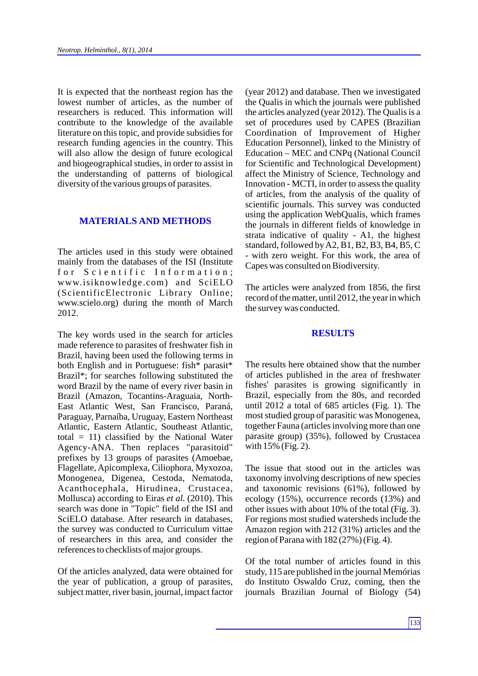It is expected that the northeast region has the lowest number of articles, as the number of researchers is reduced. This information will contribute to the knowledge of the available literature on this topic, and provide subsidies for research funding agencies in the country. This will also allow the design of future ecological and biogeographical studies, in order to assist in the understanding of patterns of biological diversity of the various groups of parasites.

#### **MATERIALS AND METHODS**

The articles used in this study were obtained mainly from the databases of the ISI (Institute for Scientific Information; www.isiknowledge.com) and SciELO (ScientificElectronic Library Online; www.scielo.org) during the month of March 2012.

The key words used in the search for articles made reference to parasites of freshwater fish in Brazil, having been used the following terms in both English and in Portuguese: fish\* parasit\* Brazil\*; for searches following substituted the word Brazil by the name of every river basin in Brazil (Amazon, Tocantins-Araguaia, North-East Atlantic West, San Francisco, Paraná, Paraguay, Parnaíba, Uruguay, Eastern Northeast Atlantic, Eastern Atlantic, Southeast Atlantic, total = 11) classified by the National Water Agency-ANA. Then replaces "parasitoid" prefixes by 13 groups of parasites (Amoebae, Flagellate, Apicomplexa, Ciliophora, Myxozoa, Monogenea, Digenea, Cestoda, Nematoda, Acanthocephala, Hirudinea, Crustacea, Mollusca) according to Eiras *et al.* (2010). This search was done in "Topic" field of the ISI and SciELO database. After research in databases, the survey was conducted to Curriculum vittae of researchers in this area, and consider the references to checklists of major groups.

Of the articles analyzed, data were obtained for the year of publication, a group of parasites, subject matter, river basin, journal, impact factor (year 2012) and database. Then we investigated the Qualis in which the journals were published the articles analyzed (year 2012). The Qualis is a set of procedures used by CAPES (Brazilian Coordination of Improvement of Higher Education Personnel), linked to the Ministry of Education – MEC and CNPq (National Council for Scientific and Technological Development) affect the Ministry of Science, Technology and Innovation - MCTI, in order to assess the quality of articles, from the analysis of the quality of scientific journals. This survey was conducted using the application WebQualis, which frames the journals in different fields of knowledge in strata indicative of quality - A1, the highest standard, followed by A2, B1, B2, B3, B4, B5, C - with zero weight. For this work, the area of Capes was consulted on Biodiversity.

The articles were analyzed from 1856, the first record of the matter, until 2012, the year in which the survey was conducted.

#### **RESULTS**

The results here obtained show that the number of articles published in the area of freshwater fishes' parasites is growing significantly in Brazil, especially from the 80s, and recorded until 2012 a total of 685 articles (Fig. 1). The most studied group of parasitic was Monogenea, together Fauna (articles involving more than one parasite group) (35%), followed by Crustacea with 15% (Fig. 2).

The issue that stood out in the articles was taxonomy involving descriptions of new species and taxonomic revisions (61%), followed by ecology (15%), occurrence records (13%) and other issues with about 10% of the total (Fig. 3). For regions most studied watersheds include the Amazon region with 212 (31%) articles and the region of Parana with 182 (27%) (Fig. 4).

Of the total number of articles found in this study, 115 are published in the journal Memórias do Instituto Oswaldo Cruz, coming, then the journals Brazilian Journal of Biology (54)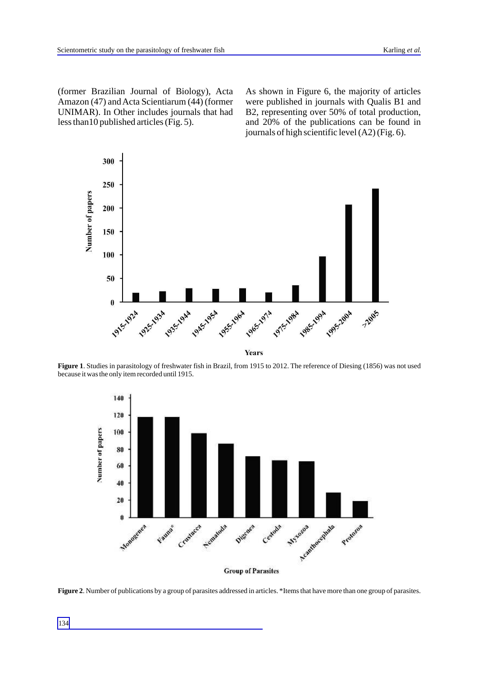(former Brazilian Journal of Biology), Acta Amazon (47) and Acta Scientiarum (44) (former UNIMAR). In Other includes journals that had less than10 published articles (Fig. 5).

As shown in Figure 6, the majority of articles were published in journals with Qualis B1 and B2, representing over 50% of total production, and 20% of the publications can be found in journals of high scientific level (A2) (Fig. 6).



**Figure 1**. Studies in parasitology of freshwater fish in Brazil, from 1915 to 2012. The reference of Diesing (1856) was not used because it was the only item recorded until 1915.



**Figure 2**. Number of publications by a group of parasites addressed in articles. \*Items that have more than one group of parasites.

134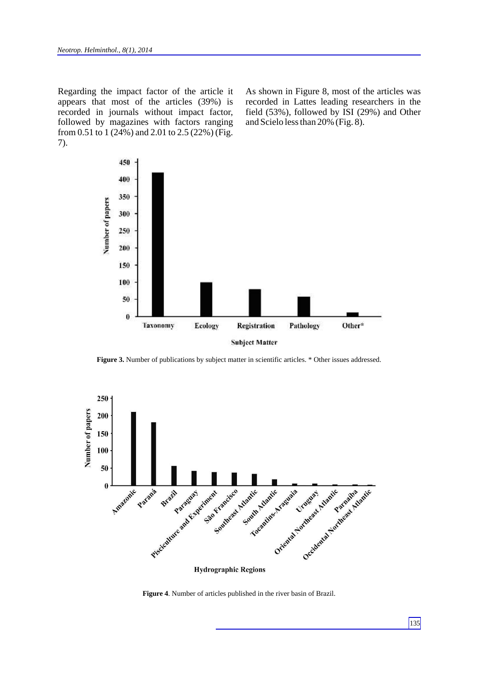Regarding the impact factor of the article it appears that most of the articles (39%) is recorded in journals without impact factor, followed by magazines with factors ranging from 0.51 to 1 (24%) and 2.01 to 2.5 (22%) (Fig. 7).

As shown in Figure 8, most of the articles was recorded in Lattes leading researchers in the field (53%), followed by ISI (29%) and Other and Scielo less than 20% (Fig. 8).



Figure 3. Number of publications by subject matter in scientific articles. \* Other issues addressed.

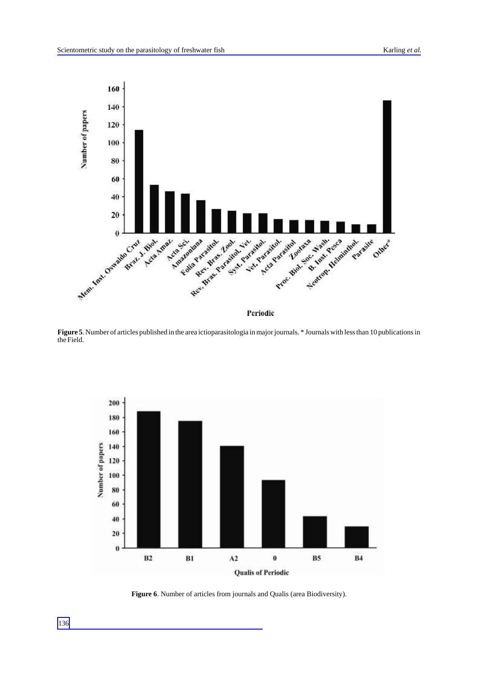

**Figure 5**. Number of articles published in the area ictioparasitologia in major journals. \* Journals with less than 10 publications in the Field.



**Figure 6**. Number of articles from journals and Qualis (area Biodiversity).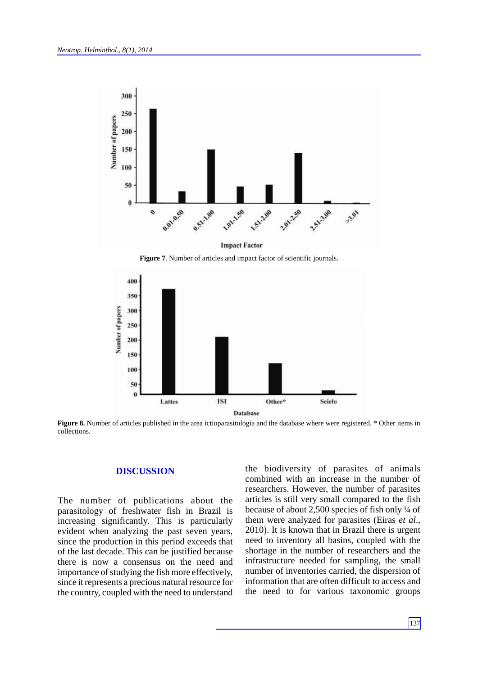

**Figure 7**. Number of articles and impact factor of scientific journals.



**Figure 8.** Number of articles published in the area ictioparasitologia and the database where were registered. \* Other items in collections.

# **DISCUSSION**

The number of publications about the parasitology of freshwater fish in Brazil is increasing significantly. This is particularly evident when analyzing the past seven years, since the production in this period exceeds that of the last decade. This can be justified because there is now a consensus on the need and importance of studying the fish more effectively, since it represents a precious natural resource for the country, coupled with the need to understand the biodiversity of parasites of animals combined with an increase in the number of researchers. However, the number of parasites articles is still very small compared to the fish because of about 2,500 species of fish only ¼ of them were analyzed for parasites (Eiras *et al*., 2010). It is known that in Brazil there is urgent need to inventory all basins, coupled with the shortage in the number of researchers and the infrastructure needed for sampling, the small number of inventories carried, the dispersion of information that are often difficult to access and the need to for various taxonomic groups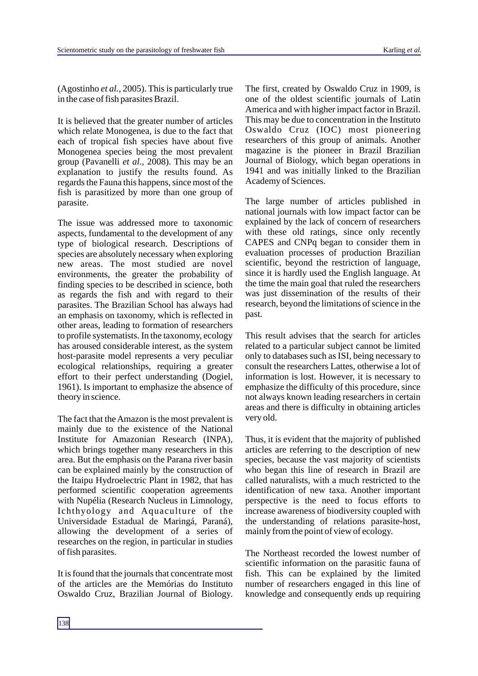(Agostinho *et al.*, 2005). This is particularly true in the case of fish parasites Brazil.

It is believed that the greater number of articles which relate Monogenea, is due to the fact that each of tropical fish species have about five Monogenea species being the most prevalent group (Pavanelli *et al.,* 2008). This may be an explanation to justify the results found. As regards the Fauna this happens, since most of the fish is parasitized by more than one group of parasite.

The issue was addressed more to taxonomic aspects, fundamental to the development of any type of biological research. Descriptions of species are absolutely necessary when exploring new areas. The most studied are novel environments, the greater the probability of finding species to be described in science, both as regards the fish and with regard to their parasites. The Brazilian School has always had an emphasis on taxonomy, which is reflected in other areas, leading to formation of researchers to profile systematists. In the taxonomy, ecology has aroused considerable interest, as the system host-parasite model represents a very peculiar ecological relationships, requiring a greater effort to their perfect understanding (Dogiel, 1961). Is important to emphasize the absence of theory in science.

The fact that the Amazon is the most prevalent is mainly due to the existence of the National Institute for Amazonian Research (INPA), which brings together many researchers in this area. But the emphasis on the Parana river basin can be explained mainly by the construction of the Itaipu Hydroelectric Plant in 1982, that has performed scientific cooperation agreements with Nupélia (Research Nucleus in Limnology, Ichthyology and Aquaculture of the Universidade Estadual de Maringá, Paraná), allowing the development of a series of researches on the region, in particular in studies of fish parasites.

It is found that the journals that concentrate most of the articles are the Memórias do Instituto Oswaldo Cruz, Brazilian Journal of Biology. The first, created by Oswaldo Cruz in 1909, is one of the oldest scientific journals of Latin America and with higher impact factor in Brazil. This may be due to concentration in the Instituto Oswaldo Cruz (IOC) most pioneering researchers of this group of animals. Another magazine is the pioneer in Brazil Brazilian Journal of Biology, which began operations in 1941 and was initially linked to the Brazilian Academy of Sciences.

The large number of articles published in national journals with low impact factor can be explained by the lack of concern of researchers with these old ratings, since only recently CAPES and CNPq began to consider them in evaluation processes of production Brazilian scientific, beyond the restriction of language, since it is hardly used the English language. At the time the main goal that ruled the researchers was just dissemination of the results of their research, beyond the limitations of science in the past.

This result advises that the search for articles related to a particular subject cannot be limited only to databases such as ISI, being necessary to consult the researchers Lattes, otherwise a lot of information is lost. However, it is necessary to emphasize the difficulty of this procedure, since not always known leading researchers in certain areas and there is difficulty in obtaining articles very old.

Thus, it is evident that the majority of published articles are referring to the description of new species, because the vast majority of scientists who began this line of research in Brazil are called naturalists, with a much restricted to the identification of new taxa. Another important perspective is the need to focus efforts to increase awareness of biodiversity coupled with the understanding of relations parasite-host, mainly from the point of view of ecology.

The Northeast recorded the lowest number of scientific information on the parasitic fauna of fish. This can be explained by the limited number of researchers engaged in this line of knowledge and consequently ends up requiring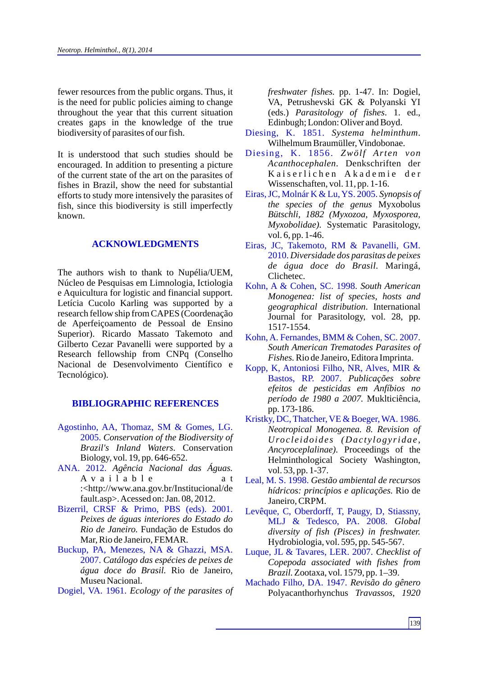fewer resources from the public organs. Thus, it is the need for public policies aiming to change throughout the year that this current situation creates gaps in the knowledge of the true biodiversity of parasites of our fish.

It is understood that such studies should be encouraged. In addition to presenting a picture of the current state of the art on the parasites of fishes in Brazil, show the need for substantial efforts to study more intensively the parasites of fish, since this biodiversity is still imperfectly known.

# **ACKNOWLEDGMENTS**

The authors wish to thank to Nupélia/UEM, Núcleo de Pesquisas em Limnologia, Ictiologia e Aquicultura for logistic and financial support. Letícia Cucolo Karling was supported by a research fellow ship from CAPES (Coordenação de Aperfeiçoamento de Pessoal de Ensino Superior). Ricardo Massato Takemoto and Gilberto Cezar Pavanelli were supported by a Research fellowship from CNPq (Conselho Nacional de Desenvolvimento Científico e Tecnológico).

# **BIBLIOGRAPHIC REFERENCES**

- Agostinho, AA, Thomaz, SM & Gomes, LG. 2005. *Conservation of the Biodiversity of Brazil's Inland Waters.* Conservation Biology, vol. 19, pp. 646-652.
- ANA. 2012. *Agência Nacional das Águas.* A v a i l a b l e a t :<http://www.ana.gov.br/Institucional/de fault.asp>. Acessed on: Jan. 08, 2012.
- Bizerril, CRSF & Primo, PBS (eds). 2001. *Peixes de águas interiores do Estado do Rio de Janeiro.* Fundação de Estudos do Mar, Rio de Janeiro, FEMAR.
- Buckup, PA, Menezes, NA & Ghazzi, MSA. 2007. *Catálogo das espécies de peixes de água doce do Brasil.* Rio de Janeiro, Museu Nacional.
- Dogiel, VA. 1961. *Ecology of the parasites of*

*freshwater fishes.* pp. 1-47. In: Dogiel, VA, Petrushevski GK & Polyanski YI (eds.) *Parasitology of fishes*. 1. ed., Edinbugh; London: Oliver and Boyd.

- *Systema helminthum*. Diesing, K. 1851. Wilhelmum Braumüller, Vindobonae.
- *Zwölf Arten von* Diesing, K. 1856. *Acanthocephalen*. Denkschriften der Kaiserlichen Akademie der Wissenschaften, vol. 11, pp. 1-16.
- Eiras, JC, Molnár K & Lu, YS. 2005. Synopsis of *the species of the genus* Myxobolus *Bütschli, 1882 (Myxozoa, Myxosporea, Myxobolidae).* Systematic Parasitology, vol. 6, pp. 1-46.
- *Diversidade dos parasitas de peixes*  2010. *de água doce do Brasil.* Maringá, Clichetec. Eiras, JC, Takemoto, RM & Pavanelli, GM.
- Kohn, A & Cohen, SC. 1998. South American *Monogenea: list of species, hosts and geographical distribution*. International Journal for Parasitology, vol. 28, pp. 1517-1554.
- *South American Trematodes Parasites of Fishes.*Rio de Janeiro, Editora Imprinta. Kohn, A. Fernandes, BMM & Cohen, SC. 2007.
- *Publicações sobre*  Bastos, RP. 2007. *efeitos de pesticidas em Anfíbios no período de 1980 a 2007.* Muklticiência, pp. 173-186. Kopp, K, Antoniosi Filho, NR, Alves, MIR &
- *Neotropical Monogenea. 8. Revision of Uroc l e idoide s (Dac t y logy ridae , Ancyroceplalinae).* Proceedings of the Helminthological Society Washington, vol. 53, pp. 1-37. Kristky, DC, Thatcher, VE & Boeger, WA. 1986.
- Leal, M. S. 1998. Gestão ambiental de recursos *hídricos: princípios e aplicações.* Rio de Janeiro, CRPM.
- *Global* MLJ & Tedesco, PA. 2008. *diversity of fish (Pisces) in freshwater.*  Hydrobiologia, vol. 595, pp. 545-567. Levêque, C, Oberdorff, T, Paugy, D, Stiassny,
- *Checklist of*  Luque, JL & Tavares, LER. 2007. *Copepoda associated with fishes from Brazil.*Zootaxa, vol. 1579, pp. 1–39.
- *Revisão do gênero* Machado Filho, DA. 1947. Polyacanthorhynchus *Travassos, 1920*